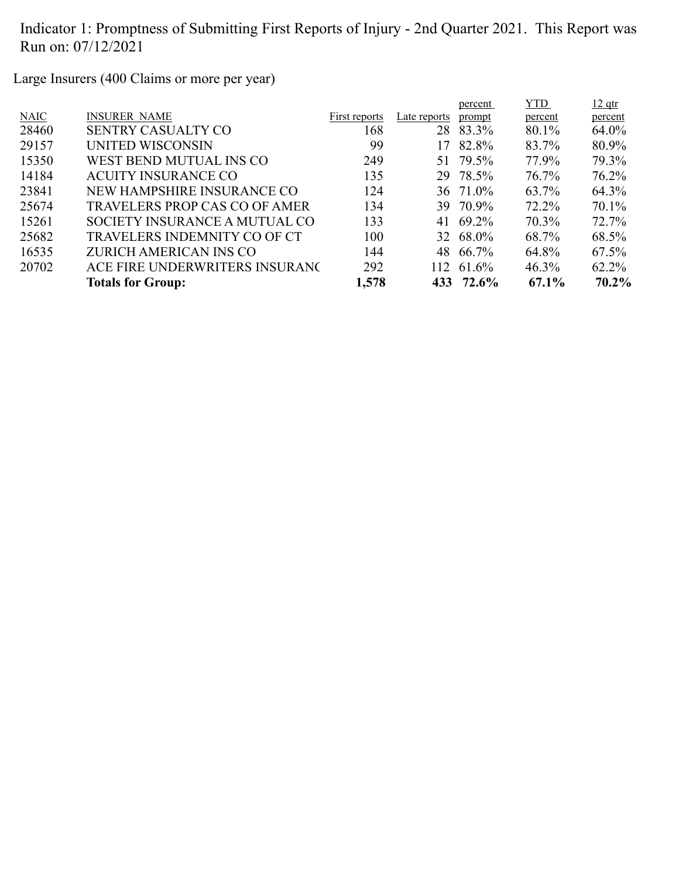Large Insurers (400 Claims or more per year)

|       |                                      |               |              | percent   | <b>YTD</b> | $12$ qtr |
|-------|--------------------------------------|---------------|--------------|-----------|------------|----------|
| NAIC  | <b>INSURER NAME</b>                  | First reports | Late reports | prompt    | percent    | percent  |
| 28460 | <b>SENTRY CASUALTY CO</b>            | 168           |              | 28 83.3%  | 80.1%      | 64.0%    |
| 29157 | UNITED WISCONSIN                     | 99            | 17           | 82.8%     | 83.7%      | 80.9%    |
| 15350 | WEST BEND MUTUAL INS CO              | 249           |              | 51 79.5%  | 77.9%      | 79.3%    |
| 14184 | <b>ACUITY INSURANCE CO</b>           | 135           |              | 29 78.5%  | 76.7%      | 76.2%    |
| 23841 | NEW HAMPSHIRE INSURANCE CO           | 124           |              | 36 71.0%  | 63.7%      | 64.3%    |
| 25674 | <b>TRAVELERS PROP CAS CO OF AMER</b> | 134           |              | 39 70.9%  | 72.2%      | 70.1%    |
| 15261 | SOCIETY INSURANCE A MUTUAL CO        | 133           |              | 41 69.2%  | 70.3%      | 72.7%    |
| 25682 | <b>TRAVELERS INDEMNITY CO OF CT</b>  | 100           |              | 32 68.0%  | 68.7%      | 68.5%    |
| 16535 | ZURICH AMERICAN INS CO               | 144           |              | 48 66.7%  | 64.8%      | 67.5%    |
| 20702 | ACE FIRE UNDERWRITERS INSURANC       | 292           | 112.         | 61.6%     | $46.3\%$   | 62.2%    |
|       | <b>Totals for Group:</b>             | 1,578         |              | 433 72.6% | 67.1%      | 70.2%    |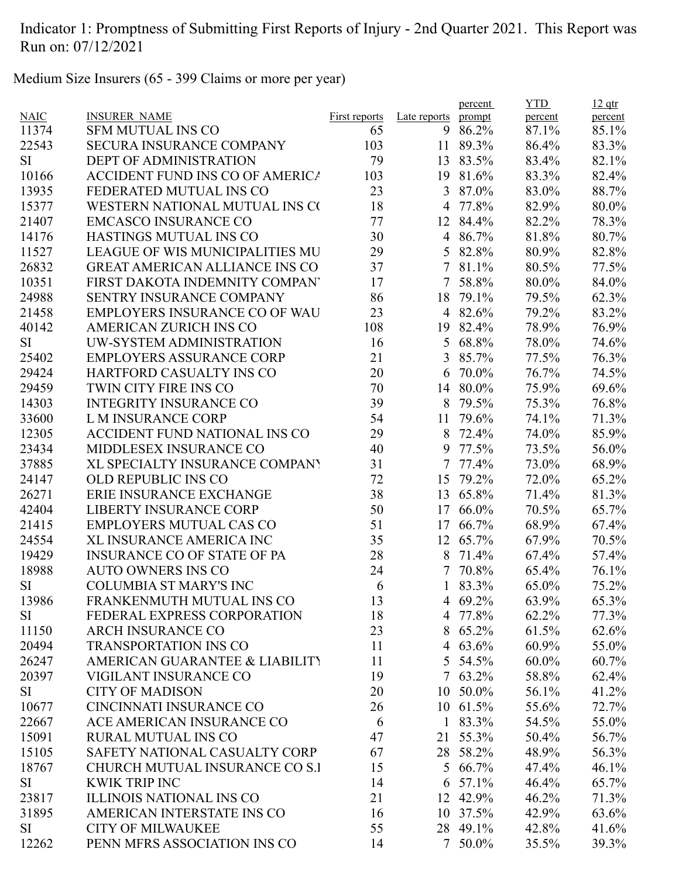Medium Size Insurers (65 - 399 Claims or more per year)

|             |                                       |               |              | percent    | <b>YTD</b> | $12$ qtr |
|-------------|---------------------------------------|---------------|--------------|------------|------------|----------|
| <b>NAIC</b> | <b>INSURER NAME</b>                   | First reports | Late reports | prompt     | percent    | percent  |
| 11374       | <b>SFM MUTUAL INS CO</b>              | 65            | 9            | 86.2%      | 87.1%      | 85.1%    |
| 22543       | <b>SECURA INSURANCE COMPANY</b>       | 103           | 11           | 89.3%      | 86.4%      | 83.3%    |
| SI          | <b>DEPT OF ADMINISTRATION</b>         | 79            | 13           | 83.5%      | 83.4%      | 82.1%    |
| 10166       | ACCIDENT FUND INS CO OF AMERICA       | 103           | 19           | 81.6%      | 83.3%      | 82.4%    |
| 13935       | FEDERATED MUTUAL INS CO               | 23            | 3            | 87.0%      | 83.0%      | 88.7%    |
| 15377       | WESTERN NATIONAL MUTUAL INS CO        | 18            | 4            | 77.8%      | 82.9%      | 80.0%    |
| 21407       | <b>EMCASCO INSURANCE CO</b>           | 77            | 12           | 84.4%      | 82.2%      | 78.3%    |
| 14176       | HASTINGS MUTUAL INS CO                | 30            | 4            | 86.7%      | 81.8%      | 80.7%    |
| 11527       | LEAGUE OF WIS MUNICIPALITIES MU       | 29            | 5            | 82.8%      | 80.9%      | 82.8%    |
| 26832       | <b>GREAT AMERICAN ALLIANCE INS CO</b> | 37            | $\tau$       | 81.1%      | 80.5%      | 77.5%    |
| 10351       | FIRST DAKOTA INDEMNITY COMPANY        | 17            | 7            | 58.8%      | 80.0%      | 84.0%    |
| 24988       | SENTRY INSURANCE COMPANY              | 86            | 18           | 79.1%      | 79.5%      | 62.3%    |
| 21458       | EMPLOYERS INSURANCE CO OF WAU         | 23            |              | 4 82.6%    | 79.2%      | 83.2%    |
| 40142       | <b>AMERICAN ZURICH INS CO</b>         | 108           | 19           | 82.4%      | 78.9%      | 76.9%    |
| SI          | UW-SYSTEM ADMINISTRATION              | 16            | 5            | 68.8%      | 78.0%      | 74.6%    |
| 25402       | <b>EMPLOYERS ASSURANCE CORP</b>       | 21            | 3            | 85.7%      | 77.5%      | 76.3%    |
| 29424       | HARTFORD CASUALTY INS CO              | 20            | 6            | 70.0%      | 76.7%      | 74.5%    |
| 29459       | TWIN CITY FIRE INS CO                 | 70            | 14           | 80.0%      | 75.9%      | 69.6%    |
| 14303       | <b>INTEGRITY INSURANCE CO</b>         | 39            | 8            | 79.5%      | 75.3%      | 76.8%    |
| 33600       | <b>L M INSURANCE CORP</b>             | 54            | 11           | 79.6%      | 74.1%      | 71.3%    |
| 12305       | ACCIDENT FUND NATIONAL INS CO         | 29            | 8            | 72.4%      | 74.0%      | 85.9%    |
| 23434       | MIDDLESEX INSURANCE CO                | 40            | 9            | 77.5%      | 73.5%      | 56.0%    |
| 37885       | XL SPECIALTY INSURANCE COMPANY        | 31            | 7            | 77.4%      | 73.0%      | 68.9%    |
| 24147       | OLD REPUBLIC INS CO                   | 72            | 15           | 79.2%      | 72.0%      | 65.2%    |
| 26271       | ERIE INSURANCE EXCHANGE               | 38            | 13           | 65.8%      | 71.4%      | 81.3%    |
| 42404       | <b>LIBERTY INSURANCE CORP</b>         | 50            | 17           | 66.0%      | 70.5%      | 65.7%    |
| 21415       | <b>EMPLOYERS MUTUAL CAS CO</b>        | 51            | 17           | 66.7%      | 68.9%      | 67.4%    |
| 24554       | <b>XL INSURANCE AMERICA INC</b>       | 35            | 12           | 65.7%      | 67.9%      | 70.5%    |
| 19429       | <b>INSURANCE CO OF STATE OF PA</b>    | 28            | 8            | 71.4%      | 67.4%      | 57.4%    |
| 18988       | <b>AUTO OWNERS INS CO</b>             | 24            | 7            | 70.8%      | 65.4%      | 76.1%    |
| SI          | <b>COLUMBIA ST MARY'S INC</b>         | 6             |              | 83.3%      | 65.0%      | 75.2%    |
|             | FRANKENMUTH MUTUAL INS CO             | 13            |              | 4 69.2%    | 63.9%      | 65.3%    |
| 13986       |                                       |               |              |            |            |          |
| SI          | FEDERAL EXPRESS CORPORATION           | 18            |              | 4 77.8%    | 62.2%      | 77.3%    |
| 11150       | <b>ARCH INSURANCE CO</b>              | 23            | 8            | 65.2%      | 61.5%      | 62.6%    |
| 20494       | <b>TRANSPORTATION INS CO</b>          | 11            |              | 4 63.6%    | 60.9%      | 55.0%    |
| 26247       | AMERICAN GUARANTEE & LIABILITY        | 11            | 5            | 54.5%      | 60.0%      | 60.7%    |
| 20397       | VIGILANT INSURANCE CO                 | 19            |              | $7,63.2\%$ | 58.8%      | 62.4%    |
| SI          | <b>CITY OF MADISON</b>                | 20            |              | 10 50.0%   | 56.1%      | 41.2%    |
| 10677       | <b>CINCINNATI INSURANCE CO</b>        | 26            |              | 10 61.5%   | 55.6%      | 72.7%    |
| 22667       | ACE AMERICAN INSURANCE CO             | 6             | $\mathbf{1}$ | 83.3%      | 54.5%      | 55.0%    |
| 15091       | <b>RURAL MUTUAL INS CO</b>            | 47            | 21           | 55.3%      | 50.4%      | 56.7%    |
| 15105       | SAFETY NATIONAL CASUALTY CORP         | 67            |              | 28 58.2%   | 48.9%      | 56.3%    |
| 18767       | CHURCH MUTUAL INSURANCE CO S.I        | 15            | 5            | 66.7%      | 47.4%      | 46.1%    |
| SI          | <b>KWIK TRIP INC</b>                  | 14            | 6            | 57.1%      | 46.4%      | 65.7%    |
| 23817       | <b>ILLINOIS NATIONAL INS CO</b>       | 21            |              | 12 42.9%   | 46.2%      | 71.3%    |
| 31895       | AMERICAN INTERSTATE INS CO            | 16            |              | 10 37.5%   | 42.9%      | 63.6%    |
| SI          | <b>CITY OF MILWAUKEE</b>              | 55            |              | 28 49.1%   | 42.8%      | 41.6%    |
| 12262       | PENN MFRS ASSOCIATION INS CO          | 14            |              | 7 50.0%    | 35.5%      | 39.3%    |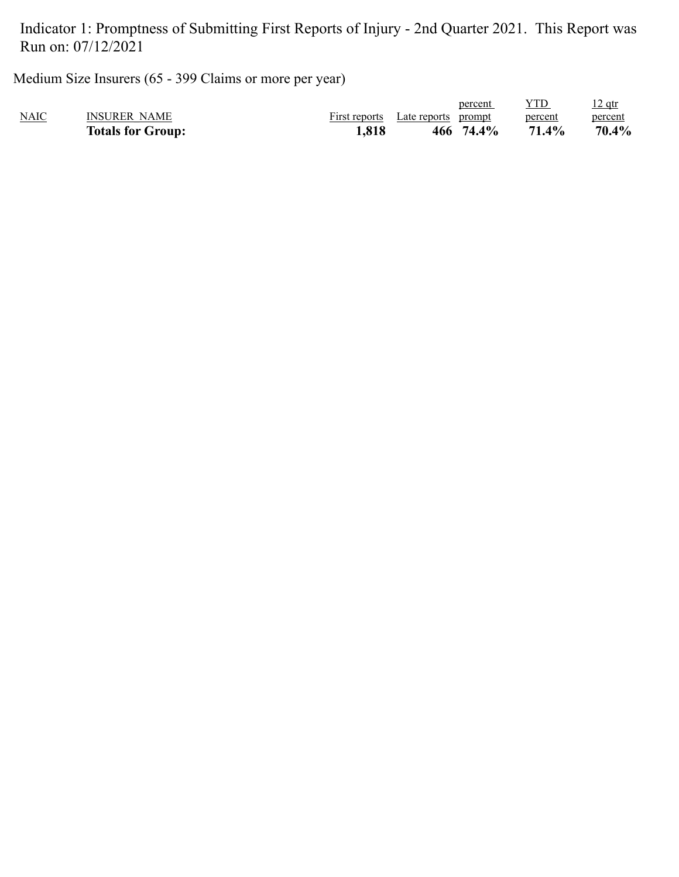Medium Size Insurers (65 - 399 Claims or more per year)

|             | <b>Totals for Group:</b> | 1,818         | 74.4%<br>466           | 71.4%   | $70.4\%$      |
|-------------|--------------------------|---------------|------------------------|---------|---------------|
| <b>NAIC</b> | <b>INSURER NAME</b>      | First reports | Late reports<br>prompt | percent | percent       |
|             |                          |               | percent                |         | <u>12 qtr</u> |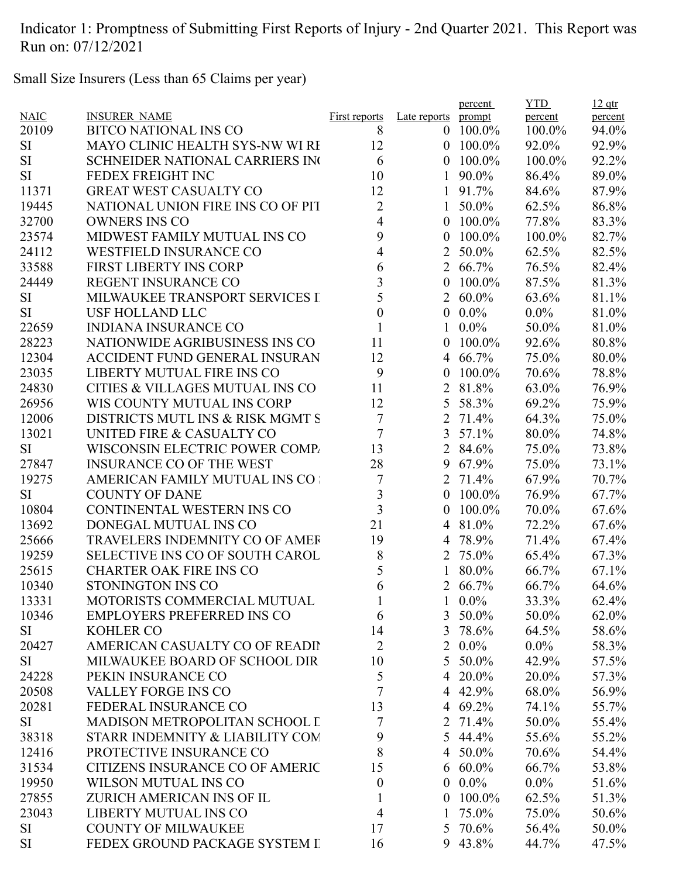Small Size Insurers (Less than 65 Claims per year)

|             |                                            |                  |                  | percent      | <b>YTD</b> | $12$ qtr |
|-------------|--------------------------------------------|------------------|------------------|--------------|------------|----------|
| <b>NAIC</b> | <b>INSURER NAME</b>                        | First reports    | Late reports     | prompt       | percent    | percent  |
| 20109       | <b>BITCO NATIONAL INS CO</b>               | 8                | $\mathbf{0}$     | 100.0%       | 100.0%     | 94.0%    |
| SI          | MAYO CLINIC HEALTH SYS-NW WI RI            | 12               | $\mathbf{0}$     | 100.0%       | 92.0%      | 92.9%    |
| <b>SI</b>   | <b>SCHNEIDER NATIONAL CARRIERS INC</b>     | 6                | $\overline{0}$   | 100.0%       | 100.0%     | 92.2%    |
| <b>SI</b>   | FEDEX FREIGHT INC                          | 10               | 1                | 90.0%        | 86.4%      | 89.0%    |
| 11371       | <b>GREAT WEST CASUALTY CO</b>              | 12               | 1                | 91.7%        | 84.6%      | 87.9%    |
| 19445       | NATIONAL UNION FIRE INS CO OF PIT          | 2                | $\mathbf{1}$     | 50.0%        | 62.5%      | 86.8%    |
| 32700       | <b>OWNERS INS CO</b>                       | 4                | $\overline{0}$   | 100.0%       | 77.8%      | 83.3%    |
| 23574       | MIDWEST FAMILY MUTUAL INS CO               | 9                | 0                | 100.0%       | 100.0%     | 82.7%    |
| 24112       | <b>WESTFIELD INSURANCE CO</b>              | $\overline{4}$   | $\overline{2}$   | 50.0%        | 62.5%      | 82.5%    |
| 33588       | <b>FIRST LIBERTY INS CORP</b>              | 6                |                  | 2 66.7%      | 76.5%      | 82.4%    |
| 24449       | <b>REGENT INSURANCE CO</b>                 | 3                | 0                | 100.0%       | 87.5%      | 81.3%    |
| SI          | MILWAUKEE TRANSPORT SERVICES I             | 5                | $\overline{2}$   | $60.0\%$     | 63.6%      | 81.1%    |
| <b>SI</b>   | <b>USF HOLLAND LLC</b>                     | $\boldsymbol{0}$ | $\boldsymbol{0}$ | $0.0\%$      | $0.0\%$    | 81.0%    |
| 22659       | <b>INDIANA INSURANCE CO</b>                | $\mathbf{1}$     | 1                | $0.0\%$      | 50.0%      | 81.0%    |
| 28223       | NATIONWIDE AGRIBUSINESS INS CO             | 11               | $\overline{0}$   | 100.0%       | 92.6%      | 80.8%    |
| 12304       | <b>ACCIDENT FUND GENERAL INSURAN</b>       | 12               | 4                | 66.7%        | 75.0%      | 80.0%    |
| 23035       | LIBERTY MUTUAL FIRE INS CO                 | 9                | 0                | 100.0%       | 70.6%      | 78.8%    |
| 24830       | <b>CITIES &amp; VILLAGES MUTUAL INS CO</b> | 11               | 2                | 81.8%        | 63.0%      | 76.9%    |
| 26956       | WIS COUNTY MUTUAL INS CORP                 | 12               | 5                | 58.3%        | 69.2%      | 75.9%    |
| 12006       | DISTRICTS MUTL INS & RISK MGMT S           | $\boldsymbol{7}$ | $\overline{2}$   | 71.4%        | 64.3%      | 75.0%    |
| 13021       | UNITED FIRE & CASUALTY CO                  | 7                | 3                | 57.1%        | 80.0%      | 74.8%    |
| <b>SI</b>   | WISCONSIN ELECTRIC POWER COMP.             | 13               |                  | 2 84.6%      | 75.0%      | 73.8%    |
| 27847       | <b>INSURANCE CO OF THE WEST</b>            | 28               | 9                | 67.9%        | 75.0%      | 73.1%    |
| 19275       | AMERICAN FAMILY MUTUAL INS CO              | 7                | 2                | 71.4%        | 67.9%      | 70.7%    |
| SI          | <b>COUNTY OF DANE</b>                      | 3                | 0                | 100.0%       | 76.9%      | 67.7%    |
| 10804       | CONTINENTAL WESTERN INS CO                 | 3                | 0                | 100.0%       | 70.0%      | 67.6%    |
| 13692       | DONEGAL MUTUAL INS CO                      | 21               | 4                | 81.0%        | 72.2%      | 67.6%    |
| 25666       | <b>TRAVELERS INDEMNITY CO OF AMEF</b>      | 19               |                  | 4 78.9%      | 71.4%      | 67.4%    |
| 19259       | <b>SELECTIVE INS CO OF SOUTH CAROL</b>     | 8                |                  | 2 75.0%      | 65.4%      | 67.3%    |
| 25615       | <b>CHARTER OAK FIRE INS CO</b>             | 5                | 1                | 80.0%        | 66.7%      | 67.1%    |
| 10340       | STONINGTON INS CO                          | 6                |                  | 2 66.7%      | 66.7%      | 64.6%    |
| 13331       | MOTORISTS COMMERCIAL MUTUAL                | $\mathbf 1$      |                  | $1\ 0.0\%$   | 33.3%      | 62.4%    |
| 10346       | <b>EMPLOYERS PREFERRED INS CO</b>          | 6                |                  | 3 50.0%      | 50.0%      | 62.0%    |
| SI          | <b>KOHLER CO</b>                           | 14               |                  | 3 78.6%      | 64.5%      | 58.6%    |
| 20427       | AMERICAN CASUALTY CO OF READIT             | $\overline{2}$   |                  | $2\ \ 0.0\%$ | $0.0\%$    |          |
|             |                                            |                  | 5                |              |            | 58.3%    |
| SI          | MILWAUKEE BOARD OF SCHOOL DIR              | 10               |                  | 50.0%        | 42.9%      | 57.5%    |
| 24228       | PEKIN INSURANCE CO                         | 5                |                  | 4 20.0%      | 20.0%      | 57.3%    |
| 20508       | <b>VALLEY FORGE INS CO</b>                 | 7                |                  | 4 42.9%      | 68.0%      | 56.9%    |
| 20281       | FEDERAL INSURANCE CO                       | 13               |                  | 4 69.2%      | 74.1%      | 55.7%    |
| SI          | MADISON METROPOLITAN SCHOOL I              | 7                |                  | 2 71.4%      | 50.0%      | 55.4%    |
| 38318       | STARR INDEMNITY & LIABILITY CON            | 9                |                  | 5 44.4%      | 55.6%      | 55.2%    |
| 12416       | PROTECTIVE INSURANCE CO                    | 8                |                  | 4 50.0%      | 70.6%      | 54.4%    |
| 31534       | CITIZENS INSURANCE CO OF AMERIC            | 15               | 6                | $60.0\%$     | 66.7%      | 53.8%    |
| 19950       | WILSON MUTUAL INS CO                       | $\boldsymbol{0}$ | $\mathbf{0}$     | $0.0\%$      | $0.0\%$    | 51.6%    |
| 27855       | ZURICH AMERICAN INS OF IL                  | $\mathbf{1}$     | $\overline{0}$   | $100.0\%$    | 62.5%      | 51.3%    |
| 23043       | LIBERTY MUTUAL INS CO                      | $\overline{4}$   | 1                | 75.0%        | 75.0%      | 50.6%    |
| <b>SI</b>   | <b>COUNTY OF MILWAUKEE</b>                 | 17               |                  | 5 70.6%      | 56.4%      | 50.0%    |
| <b>SI</b>   | FEDEX GROUND PACKAGE SYSTEM I              | 16               |                  | 9 43.8%      | 44.7%      | 47.5%    |